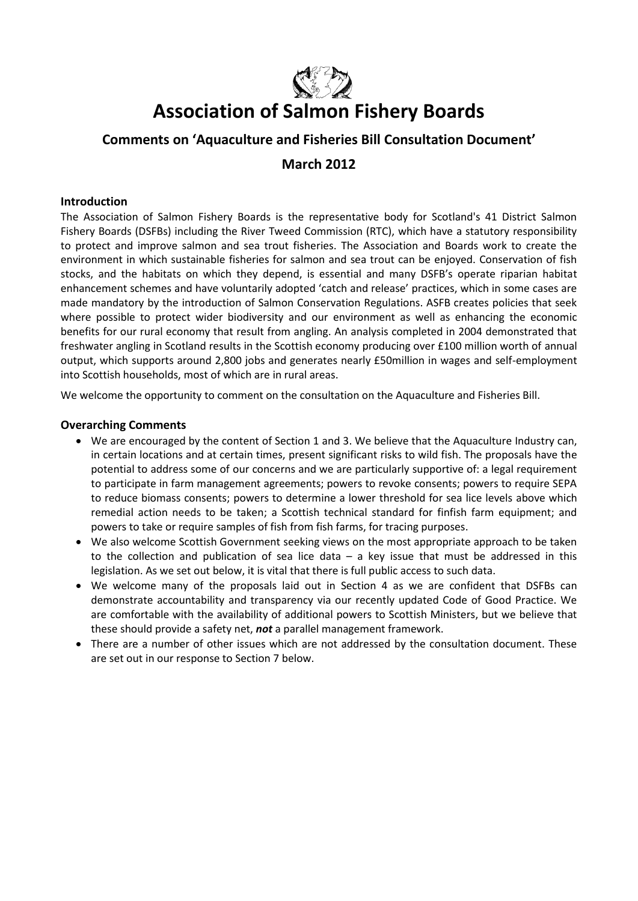

# **Association of Salmon Fishery Boards**

# **Comments on 'Aquaculture and Fisheries Bill Consultation Document'**

# **March 2012**

# **Introduction**

The Association of Salmon Fishery Boards is the representative body for Scotland's 41 District Salmon Fishery Boards (DSFBs) including the River Tweed Commission (RTC), which have a statutory responsibility to protect and improve salmon and sea trout fisheries. The Association and Boards work to create the environment in which sustainable fisheries for salmon and sea trout can be enjoyed. Conservation of fish stocks, and the habitats on which they depend, is essential and many DSFB's operate riparian habitat enhancement schemes and have voluntarily adopted 'catch and release' practices, which in some cases are made mandatory by the introduction of Salmon Conservation Regulations. ASFB creates policies that seek where possible to protect wider biodiversity and our environment as well as enhancing the economic benefits for our rural economy that result from angling. An analysis completed in 2004 demonstrated that freshwater angling in Scotland results in the Scottish economy producing over £100 million worth of annual output, which supports around 2,800 jobs and generates nearly £50million in wages and self-employment into Scottish households, most of which are in rural areas.

We welcome the opportunity to comment on the consultation on the Aquaculture and Fisheries Bill.

# **Overarching Comments**

- We are encouraged by the content of Section 1 and 3. We believe that the Aquaculture Industry can, in certain locations and at certain times, present significant risks to wild fish. The proposals have the potential to address some of our concerns and we are particularly supportive of: a legal requirement to participate in farm management agreements; powers to revoke consents; powers to require SEPA to reduce biomass consents; powers to determine a lower threshold for sea lice levels above which remedial action needs to be taken; a Scottish technical standard for finfish farm equipment; and powers to take or require samples of fish from fish farms, for tracing purposes.
- We also welcome Scottish Government seeking views on the most appropriate approach to be taken to the collection and publication of sea lice data  $-$  a key issue that must be addressed in this legislation. As we set out below, it is vital that there is full public access to such data.
- We welcome many of the proposals laid out in Section 4 as we are confident that DSFBs can demonstrate accountability and transparency via our recently updated Code of Good Practice. We are comfortable with the availability of additional powers to Scottish Ministers, but we believe that these should provide a safety net, *not* a parallel management framework.
- There are a number of other issues which are not addressed by the consultation document. These are set out in our response to Section 7 below.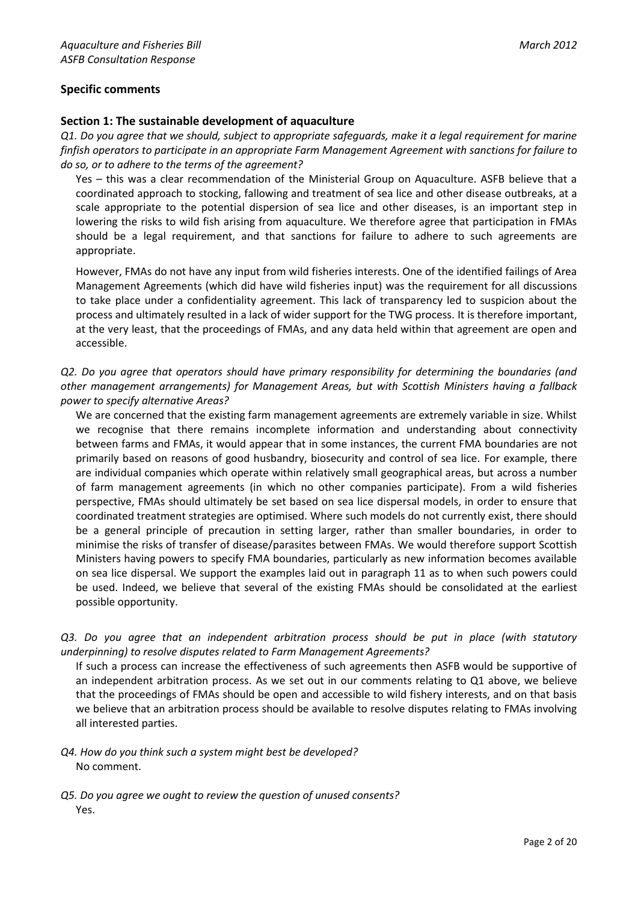# **Specific comments**

# **Section 1: The sustainable development of aquaculture**

*Q1. Do you agree that we should, subject to appropriate safeguards, make it a legal requirement for marine finfish operators to participate in an appropriate Farm Management Agreement with sanctions for failure to do so, or to adhere to the terms of the agreement?*

Yes – this was a clear recommendation of the Ministerial Group on Aquaculture. ASFB believe that a coordinated approach to stocking, fallowing and treatment of sea lice and other disease outbreaks, at a scale appropriate to the potential dispersion of sea lice and other diseases, is an important step in lowering the risks to wild fish arising from aquaculture. We therefore agree that participation in FMAs should be a legal requirement, and that sanctions for failure to adhere to such agreements are appropriate.

However, FMAs do not have any input from wild fisheries interests. One of the identified failings of Area Management Agreements (which did have wild fisheries input) was the requirement for all discussions to take place under a confidentiality agreement. This lack of transparency led to suspicion about the process and ultimately resulted in a lack of wider support for the TWG process. It is therefore important, at the very least, that the proceedings of FMAs, and any data held within that agreement are open and accessible.

*Q2. Do you agree that operators should have primary responsibility for determining the boundaries (and other management arrangements) for Management Areas, but with Scottish Ministers having a fallback power to specify alternative Areas?*

We are concerned that the existing farm management agreements are extremely variable in size. Whilst we recognise that there remains incomplete information and understanding about connectivity between farms and FMAs, it would appear that in some instances, the current FMA boundaries are not primarily based on reasons of good husbandry, biosecurity and control of sea lice. For example, there are individual companies which operate within relatively small geographical areas, but across a number of farm management agreements (in which no other companies participate). From a wild fisheries perspective, FMAs should ultimately be set based on sea lice dispersal models, in order to ensure that coordinated treatment strategies are optimised. Where such models do not currently exist, there should be a general principle of precaution in setting larger, rather than smaller boundaries, in order to minimise the risks of transfer of disease/parasites between FMAs. We would therefore support Scottish Ministers having powers to specify FMA boundaries, particularly as new information becomes available on sea lice dispersal. We support the examples laid out in paragraph 11 as to when such powers could be used. Indeed, we believe that several of the existing FMAs should be consolidated at the earliest possible opportunity.

*Q3. Do you agree that an independent arbitration process should be put in place (with statutory underpinning) to resolve disputes related to Farm Management Agreements?*

If such a process can increase the effectiveness of such agreements then ASFB would be supportive of an independent arbitration process. As we set out in our comments relating to Q1 above, we believe that the proceedings of FMAs should be open and accessible to wild fishery interests, and on that basis we believe that an arbitration process should be available to resolve disputes relating to FMAs involving all interested parties.

- *Q4. How do you think such a system might best be developed?* No comment.
- *Q5. Do you agree we ought to review the question of unused consents?* Yes.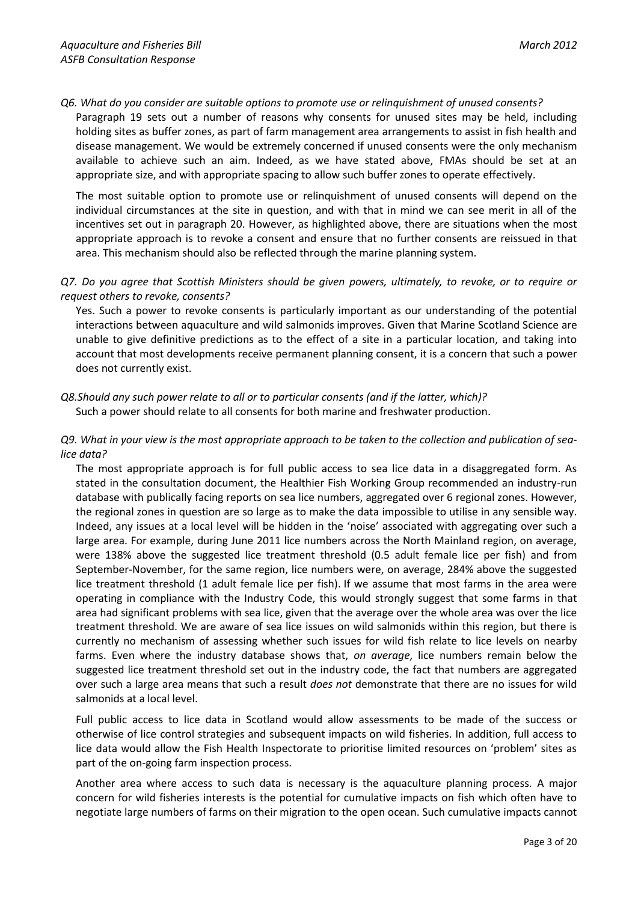*Q6. What do you consider are suitable options to promote use or relinquishment of unused consents?*

Paragraph 19 sets out a number of reasons why consents for unused sites may be held, including holding sites as buffer zones, as part of farm management area arrangements to assist in fish health and disease management. We would be extremely concerned if unused consents were the only mechanism available to achieve such an aim. Indeed, as we have stated above, FMAs should be set at an appropriate size, and with appropriate spacing to allow such buffer zones to operate effectively.

The most suitable option to promote use or relinquishment of unused consents will depend on the individual circumstances at the site in question, and with that in mind we can see merit in all of the incentives set out in paragraph 20. However, as highlighted above, there are situations when the most appropriate approach is to revoke a consent and ensure that no further consents are reissued in that area. This mechanism should also be reflected through the marine planning system.

# *Q7. Do you agree that Scottish Ministers should be given powers, ultimately, to revoke, or to require or request others to revoke, consents?*

Yes. Such a power to revoke consents is particularly important as our understanding of the potential interactions between aquaculture and wild salmonids improves. Given that Marine Scotland Science are unable to give definitive predictions as to the effect of a site in a particular location, and taking into account that most developments receive permanent planning consent, it is a concern that such a power does not currently exist.

# *Q8.Should any such power relate to all or to particular consents (and if the latter, which)?* Such a power should relate to all consents for both marine and freshwater production.

# *Q9. What in your view is the most appropriate approach to be taken to the collection and publication of sealice data?*

The most appropriate approach is for full public access to sea lice data in a disaggregated form. As stated in the consultation document, the Healthier Fish Working Group recommended an industry-run database with publically facing reports on sea lice numbers, aggregated over 6 regional zones. However, the regional zones in question are so large as to make the data impossible to utilise in any sensible way. Indeed, any issues at a local level will be hidden in the 'noise' associated with aggregating over such a large area. For example, during June 2011 lice numbers across the North Mainland region, on average, were 138% above the suggested lice treatment threshold (0.5 adult female lice per fish) and from September-November, for the same region, lice numbers were, on average, 284% above the suggested lice treatment threshold (1 adult female lice per fish). If we assume that most farms in the area were operating in compliance with the Industry Code, this would strongly suggest that some farms in that area had significant problems with sea lice, given that the average over the whole area was over the lice treatment threshold. We are aware of sea lice issues on wild salmonids within this region, but there is currently no mechanism of assessing whether such issues for wild fish relate to lice levels on nearby farms. Even where the industry database shows that, *on average*, lice numbers remain below the suggested lice treatment threshold set out in the industry code, the fact that numbers are aggregated over such a large area means that such a result *does not* demonstrate that there are no issues for wild salmonids at a local level.

Full public access to lice data in Scotland would allow assessments to be made of the success or otherwise of lice control strategies and subsequent impacts on wild fisheries. In addition, full access to lice data would allow the Fish Health Inspectorate to prioritise limited resources on 'problem' sites as part of the on-going farm inspection process.

Another area where access to such data is necessary is the aquaculture planning process. A major concern for wild fisheries interests is the potential for cumulative impacts on fish which often have to negotiate large numbers of farms on their migration to the open ocean. Such cumulative impacts cannot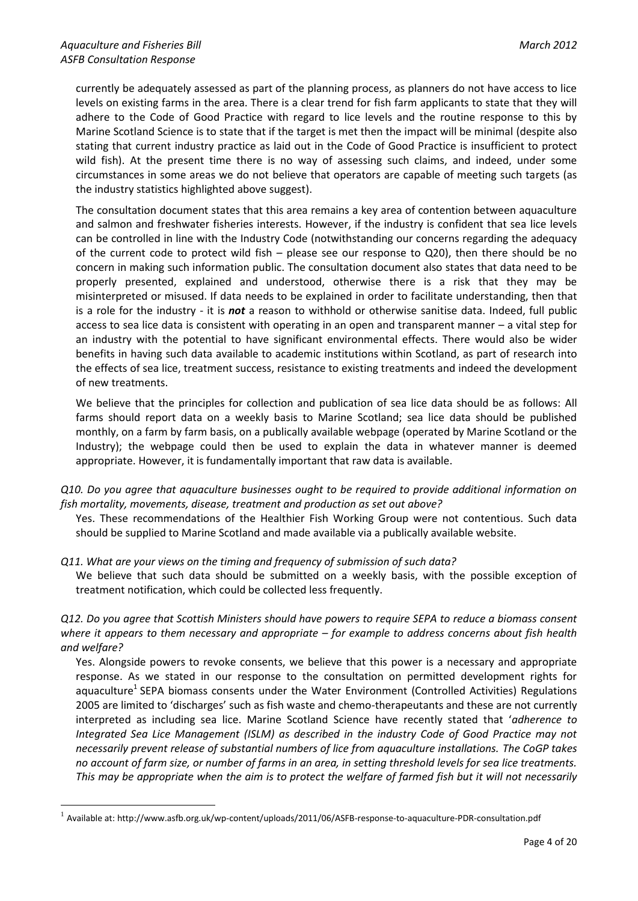<u>.</u>

currently be adequately assessed as part of the planning process, as planners do not have access to lice levels on existing farms in the area. There is a clear trend for fish farm applicants to state that they will adhere to the Code of Good Practice with regard to lice levels and the routine response to this by Marine Scotland Science is to state that if the target is met then the impact will be minimal (despite also stating that current industry practice as laid out in the Code of Good Practice is insufficient to protect wild fish). At the present time there is no way of assessing such claims, and indeed, under some circumstances in some areas we do not believe that operators are capable of meeting such targets (as the industry statistics highlighted above suggest).

The consultation document states that this area remains a key area of contention between aquaculture and salmon and freshwater fisheries interests. However, if the industry is confident that sea lice levels can be controlled in line with the Industry Code (notwithstanding our concerns regarding the adequacy of the current code to protect wild fish – please see our response to Q20), then there should be no concern in making such information public. The consultation document also states that data need to be properly presented, explained and understood, otherwise there is a risk that they may be misinterpreted or misused. If data needs to be explained in order to facilitate understanding, then that is a role for the industry - it is *not* a reason to withhold or otherwise sanitise data. Indeed, full public access to sea lice data is consistent with operating in an open and transparent manner – a vital step for an industry with the potential to have significant environmental effects. There would also be wider benefits in having such data available to academic institutions within Scotland, as part of research into the effects of sea lice, treatment success, resistance to existing treatments and indeed the development of new treatments.

We believe that the principles for collection and publication of sea lice data should be as follows: All farms should report data on a weekly basis to Marine Scotland; sea lice data should be published monthly, on a farm by farm basis, on a publically available webpage (operated by Marine Scotland or the Industry); the webpage could then be used to explain the data in whatever manner is deemed appropriate. However, it is fundamentally important that raw data is available.

*Q10. Do you agree that aquaculture businesses ought to be required to provide additional information on fish mortality, movements, disease, treatment and production as set out above?*

Yes. These recommendations of the Healthier Fish Working Group were not contentious. Such data should be supplied to Marine Scotland and made available via a publically available website.

*Q11. What are your views on the timing and frequency of submission of such data?*

We believe that such data should be submitted on a weekly basis, with the possible exception of treatment notification, which could be collected less frequently.

*Q12. Do you agree that Scottish Ministers should have powers to require SEPA to reduce a biomass consent where it appears to them necessary and appropriate – for example to address concerns about fish health and welfare?*

Yes. Alongside powers to revoke consents, we believe that this power is a necessary and appropriate response. As we stated in our response to the consultation on permitted development rights for aquaculture<sup>1</sup> SEPA biomass consents under the Water Environment (Controlled Activities) Regulations 2005 are limited to 'discharges' such as fish waste and chemo-therapeutants and these are not currently interpreted as including sea lice. Marine Scotland Science have recently stated that '*adherence to Integrated Sea Lice Management (ISLM) as described in the industry Code of Good Practice may not necessarily prevent release of substantial numbers of lice from aquaculture installations. The CoGP takes no account of farm size, or number of farms in an area, in setting threshold levels for sea lice treatments. This may be appropriate when the aim is to protect the welfare of farmed fish but it will not necessarily* 

 $^1$  Available at: http://www.asfb.org.uk/wp-content/uploads/2011/06/ASFB-response-to-aquaculture-PDR-consultation.pdf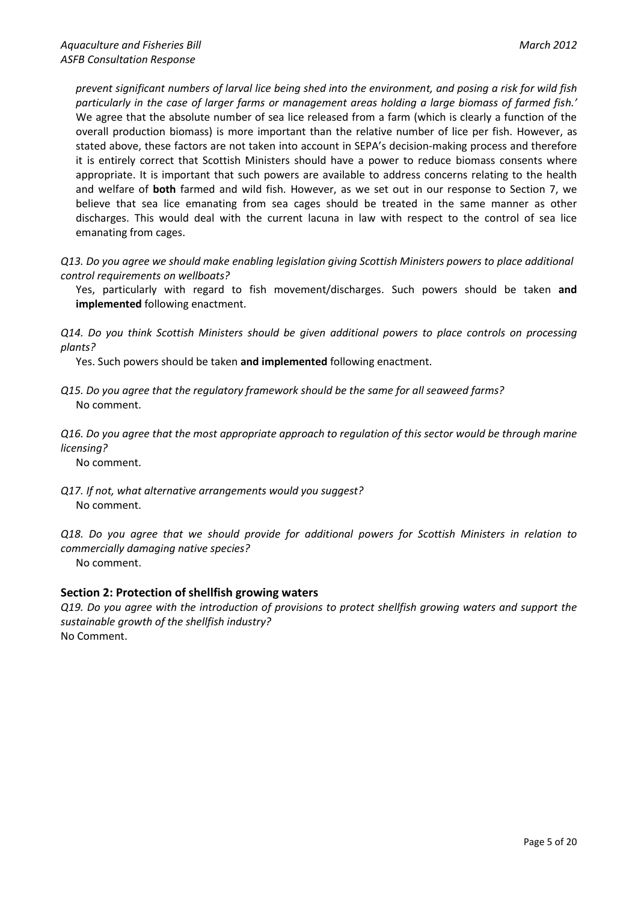*prevent significant numbers of larval lice being shed into the environment, and posing a risk for wild fish particularly in the case of larger farms or management areas holding a large biomass of farmed fish.'* We agree that the absolute number of sea lice released from a farm (which is clearly a function of the overall production biomass) is more important than the relative number of lice per fish. However, as stated above, these factors are not taken into account in SEPA's decision-making process and therefore it is entirely correct that Scottish Ministers should have a power to reduce biomass consents where appropriate. It is important that such powers are available to address concerns relating to the health and welfare of **both** farmed and wild fish. However, as we set out in our response to Section 7, we believe that sea lice emanating from sea cages should be treated in the same manner as other discharges. This would deal with the current lacuna in law with respect to the control of sea lice emanating from cages.

*Q13. Do you agree we should make enabling legislation giving Scottish Ministers powers to place additional control requirements on wellboats?*

Yes, particularly with regard to fish movement/discharges. Such powers should be taken **and implemented** following enactment.

*Q14. Do you think Scottish Ministers should be given additional powers to place controls on processing plants?*

Yes. Such powers should be taken **and implemented** following enactment.

*Q15. Do you agree that the regulatory framework should be the same for all seaweed farms?* No comment.

*Q16. Do you agree that the most appropriate approach to regulation of this sector would be through marine licensing?* 

No comment.

*Q17. If not, what alternative arrangements would you suggest?* No comment.

*Q18. Do you agree that we should provide for additional powers for Scottish Ministers in relation to commercially damaging native species?* No comment.

# **Section 2: Protection of shellfish growing waters**

*Q19. Do you agree with the introduction of provisions to protect shellfish growing waters and support the sustainable growth of the shellfish industry?* No Comment.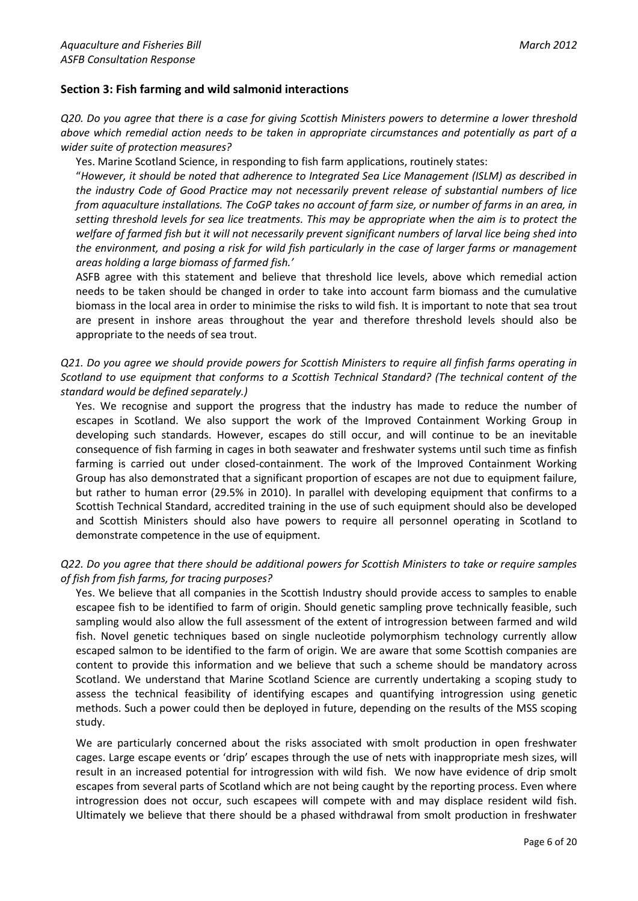# **Section 3: Fish farming and wild salmonid interactions**

*Q20. Do you agree that there is a case for giving Scottish Ministers powers to determine a lower threshold above which remedial action needs to be taken in appropriate circumstances and potentially as part of a wider suite of protection measures?*

Yes. Marine Scotland Science, in responding to fish farm applications, routinely states:

"*However, it should be noted that adherence to Integrated Sea Lice Management (ISLM) as described in the industry Code of Good Practice may not necessarily prevent release of substantial numbers of lice from aquaculture installations. The CoGP takes no account of farm size, or number of farms in an area, in setting threshold levels for sea lice treatments. This may be appropriate when the aim is to protect the welfare of farmed fish but it will not necessarily prevent significant numbers of larval lice being shed into the environment, and posing a risk for wild fish particularly in the case of larger farms or management areas holding a large biomass of farmed fish.'*

ASFB agree with this statement and believe that threshold lice levels, above which remedial action needs to be taken should be changed in order to take into account farm biomass and the cumulative biomass in the local area in order to minimise the risks to wild fish. It is important to note that sea trout are present in inshore areas throughout the year and therefore threshold levels should also be appropriate to the needs of sea trout.

# *Q21. Do you agree we should provide powers for Scottish Ministers to require all finfish farms operating in Scotland to use equipment that conforms to a Scottish Technical Standard? (The technical content of the standard would be defined separately.)*

Yes. We recognise and support the progress that the industry has made to reduce the number of escapes in Scotland. We also support the work of the Improved Containment Working Group in developing such standards. However, escapes do still occur, and will continue to be an inevitable consequence of fish farming in cages in both seawater and freshwater systems until such time as finfish farming is carried out under closed-containment. The work of the Improved Containment Working Group has also demonstrated that a significant proportion of escapes are not due to equipment failure, but rather to human error (29.5% in 2010). In parallel with developing equipment that confirms to a Scottish Technical Standard, accredited training in the use of such equipment should also be developed and Scottish Ministers should also have powers to require all personnel operating in Scotland to demonstrate competence in the use of equipment.

# *Q22. Do you agree that there should be additional powers for Scottish Ministers to take or require samples of fish from fish farms, for tracing purposes?*

Yes. We believe that all companies in the Scottish Industry should provide access to samples to enable escapee fish to be identified to farm of origin. Should genetic sampling prove technically feasible, such sampling would also allow the full assessment of the extent of introgression between farmed and wild fish. Novel genetic techniques based on single nucleotide polymorphism technology currently allow escaped salmon to be identified to the farm of origin. We are aware that some Scottish companies are content to provide this information and we believe that such a scheme should be mandatory across Scotland. We understand that Marine Scotland Science are currently undertaking a scoping study to assess the technical feasibility of identifying escapes and quantifying introgression using genetic methods. Such a power could then be deployed in future, depending on the results of the MSS scoping study.

We are particularly concerned about the risks associated with smolt production in open freshwater cages. Large escape events or 'drip' escapes through the use of nets with inappropriate mesh sizes, will result in an increased potential for introgression with wild fish. We now have evidence of drip smolt escapes from several parts of Scotland which are not being caught by the reporting process. Even where introgression does not occur, such escapees will compete with and may displace resident wild fish. Ultimately we believe that there should be a phased withdrawal from smolt production in freshwater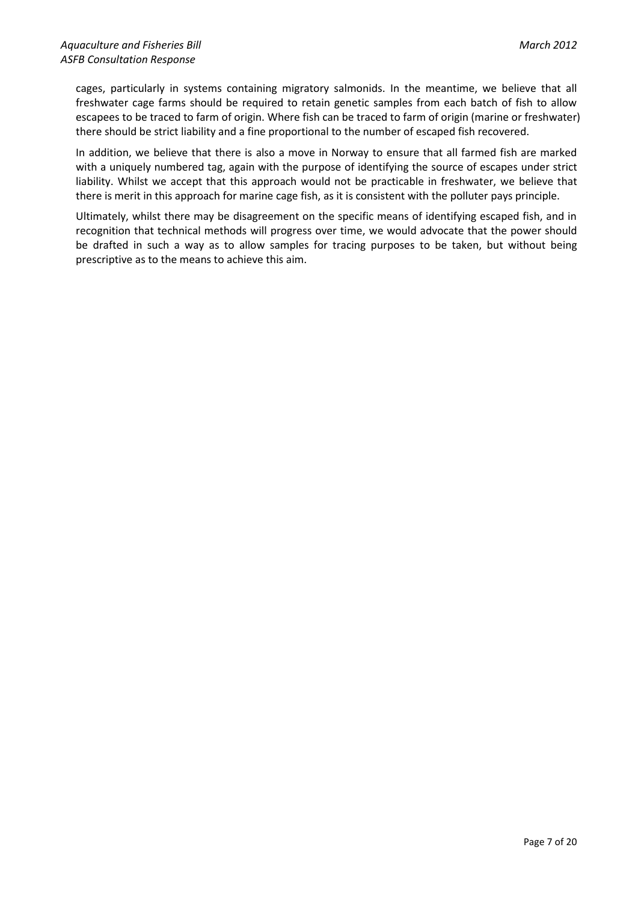cages, particularly in systems containing migratory salmonids. In the meantime, we believe that all freshwater cage farms should be required to retain genetic samples from each batch of fish to allow escapees to be traced to farm of origin. Where fish can be traced to farm of origin (marine or freshwater) there should be strict liability and a fine proportional to the number of escaped fish recovered.

In addition, we believe that there is also a move in Norway to ensure that all farmed fish are marked with a uniquely numbered tag, again with the purpose of identifying the source of escapes under strict liability. Whilst we accept that this approach would not be practicable in freshwater, we believe that there is merit in this approach for marine cage fish, as it is consistent with the polluter pays principle.

Ultimately, whilst there may be disagreement on the specific means of identifying escaped fish, and in recognition that technical methods will progress over time, we would advocate that the power should be drafted in such a way as to allow samples for tracing purposes to be taken, but without being prescriptive as to the means to achieve this aim.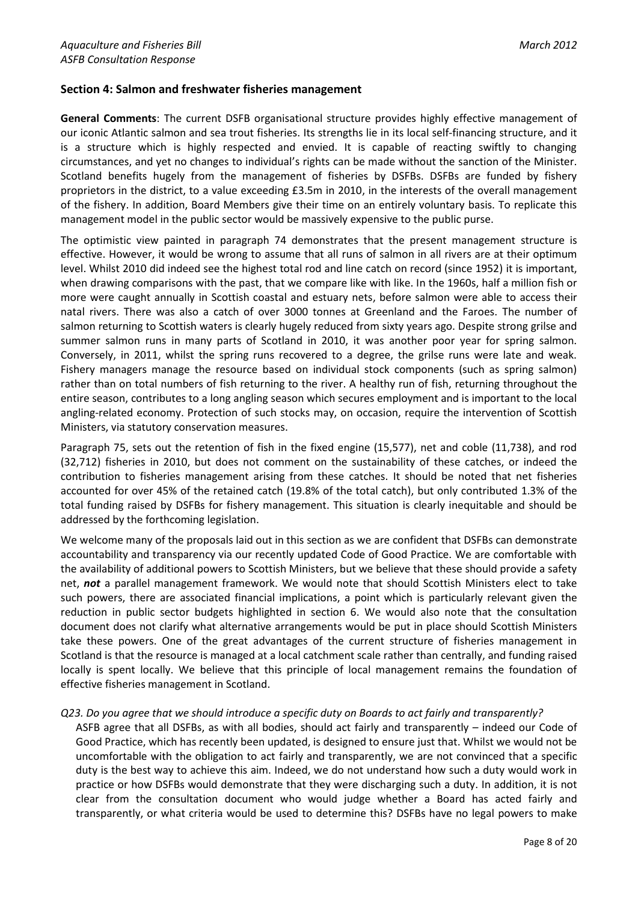# **Section 4: Salmon and freshwater fisheries management**

**General Comments**: The current DSFB organisational structure provides highly effective management of our iconic Atlantic salmon and sea trout fisheries. Its strengths lie in its local self-financing structure, and it is a structure which is highly respected and envied. It is capable of reacting swiftly to changing circumstances, and yet no changes to individual's rights can be made without the sanction of the Minister. Scotland benefits hugely from the management of fisheries by DSFBs. DSFBs are funded by fishery proprietors in the district, to a value exceeding £3.5m in 2010, in the interests of the overall management of the fishery. In addition, Board Members give their time on an entirely voluntary basis. To replicate this management model in the public sector would be massively expensive to the public purse.

The optimistic view painted in paragraph 74 demonstrates that the present management structure is effective. However, it would be wrong to assume that all runs of salmon in all rivers are at their optimum level. Whilst 2010 did indeed see the highest total rod and line catch on record (since 1952) it is important, when drawing comparisons with the past, that we compare like with like. In the 1960s, half a million fish or more were caught annually in Scottish coastal and estuary nets, before salmon were able to access their natal rivers. There was also a catch of over 3000 tonnes at Greenland and the Faroes. The number of salmon returning to Scottish waters is clearly hugely reduced from sixty years ago. Despite strong grilse and summer salmon runs in many parts of Scotland in 2010, it was another poor year for spring salmon. Conversely, in 2011, whilst the spring runs recovered to a degree, the grilse runs were late and weak. Fishery managers manage the resource based on individual stock components (such as spring salmon) rather than on total numbers of fish returning to the river. A healthy run of fish, returning throughout the entire season, contributes to a long angling season which secures employment and is important to the local angling-related economy. Protection of such stocks may, on occasion, require the intervention of Scottish Ministers, via statutory conservation measures.

Paragraph 75, sets out the retention of fish in the fixed engine (15,577), net and coble (11,738), and rod (32,712) fisheries in 2010, but does not comment on the sustainability of these catches, or indeed the contribution to fisheries management arising from these catches. It should be noted that net fisheries accounted for over 45% of the retained catch (19.8% of the total catch), but only contributed 1.3% of the total funding raised by DSFBs for fishery management. This situation is clearly inequitable and should be addressed by the forthcoming legislation.

We welcome many of the proposals laid out in this section as we are confident that DSFBs can demonstrate accountability and transparency via our recently updated Code of Good Practice. We are comfortable with the availability of additional powers to Scottish Ministers, but we believe that these should provide a safety net, *not* a parallel management framework. We would note that should Scottish Ministers elect to take such powers, there are associated financial implications, a point which is particularly relevant given the reduction in public sector budgets highlighted in section 6. We would also note that the consultation document does not clarify what alternative arrangements would be put in place should Scottish Ministers take these powers. One of the great advantages of the current structure of fisheries management in Scotland is that the resource is managed at a local catchment scale rather than centrally, and funding raised locally is spent locally. We believe that this principle of local management remains the foundation of effective fisheries management in Scotland.

# *Q23. Do you agree that we should introduce a specific duty on Boards to act fairly and transparently?*

ASFB agree that all DSFBs, as with all bodies, should act fairly and transparently – indeed our Code of Good Practice, which has recently been updated, is designed to ensure just that. Whilst we would not be uncomfortable with the obligation to act fairly and transparently, we are not convinced that a specific duty is the best way to achieve this aim. Indeed, we do not understand how such a duty would work in practice or how DSFBs would demonstrate that they were discharging such a duty. In addition, it is not clear from the consultation document who would judge whether a Board has acted fairly and transparently, or what criteria would be used to determine this? DSFBs have no legal powers to make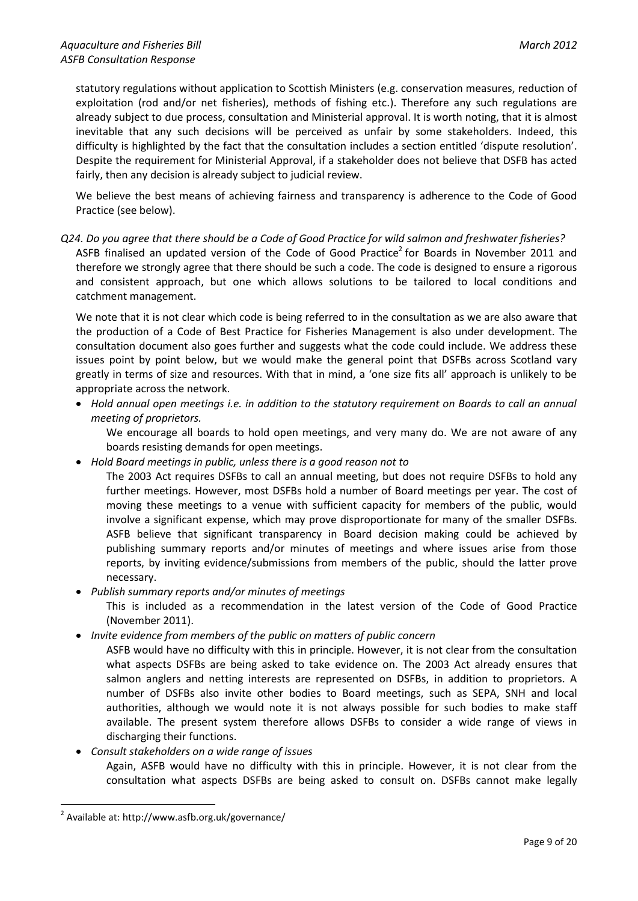statutory regulations without application to Scottish Ministers (e.g. conservation measures, reduction of exploitation (rod and/or net fisheries), methods of fishing etc.). Therefore any such regulations are already subject to due process, consultation and Ministerial approval. It is worth noting, that it is almost inevitable that any such decisions will be perceived as unfair by some stakeholders. Indeed, this difficulty is highlighted by the fact that the consultation includes a section entitled 'dispute resolution'. Despite the requirement for Ministerial Approval, if a stakeholder does not believe that DSFB has acted fairly, then any decision is already subject to judicial review.

We believe the best means of achieving fairness and transparency is adherence to the Code of Good Practice (see below).

# *Q24. Do you agree that there should be a Code of Good Practice for wild salmon and freshwater fisheries?*

ASFB finalised an updated version of the Code of Good Practice<sup>2</sup> for Boards in November 2011 and therefore we strongly agree that there should be such a code. The code is designed to ensure a rigorous and consistent approach, but one which allows solutions to be tailored to local conditions and catchment management.

We note that it is not clear which code is being referred to in the consultation as we are also aware that the production of a Code of Best Practice for Fisheries Management is also under development. The consultation document also goes further and suggests what the code could include. We address these issues point by point below, but we would make the general point that DSFBs across Scotland vary greatly in terms of size and resources. With that in mind, a 'one size fits all' approach is unlikely to be appropriate across the network.

 *Hold annual open meetings i.e. in addition to the statutory requirement on Boards to call an annual meeting of proprietors.*

We encourage all boards to hold open meetings, and very many do. We are not aware of any boards resisting demands for open meetings.

*Hold Board meetings in public, unless there is a good reason not to*

The 2003 Act requires DSFBs to call an annual meeting, but does not require DSFBs to hold any further meetings. However, most DSFBs hold a number of Board meetings per year. The cost of moving these meetings to a venue with sufficient capacity for members of the public, would involve a significant expense, which may prove disproportionate for many of the smaller DSFBs. ASFB believe that significant transparency in Board decision making could be achieved by publishing summary reports and/or minutes of meetings and where issues arise from those reports, by inviting evidence/submissions from members of the public, should the latter prove necessary.

# *Publish summary reports and/or minutes of meetings*

This is included as a recommendation in the latest version of the Code of Good Practice (November 2011).

*Invite evidence from members of the public on matters of public concern*

ASFB would have no difficulty with this in principle. However, it is not clear from the consultation what aspects DSFBs are being asked to take evidence on. The 2003 Act already ensures that salmon anglers and netting interests are represented on DSFBs, in addition to proprietors. A number of DSFBs also invite other bodies to Board meetings, such as SEPA, SNH and local authorities, although we would note it is not always possible for such bodies to make staff available. The present system therefore allows DSFBs to consider a wide range of views in discharging their functions.

*Consult stakeholders on a wide range of issues*

Again, ASFB would have no difficulty with this in principle. However, it is not clear from the consultation what aspects DSFBs are being asked to consult on. DSFBs cannot make legally

1

<sup>&</sup>lt;sup>2</sup> Available at: http://www.asfb.org.uk/governance/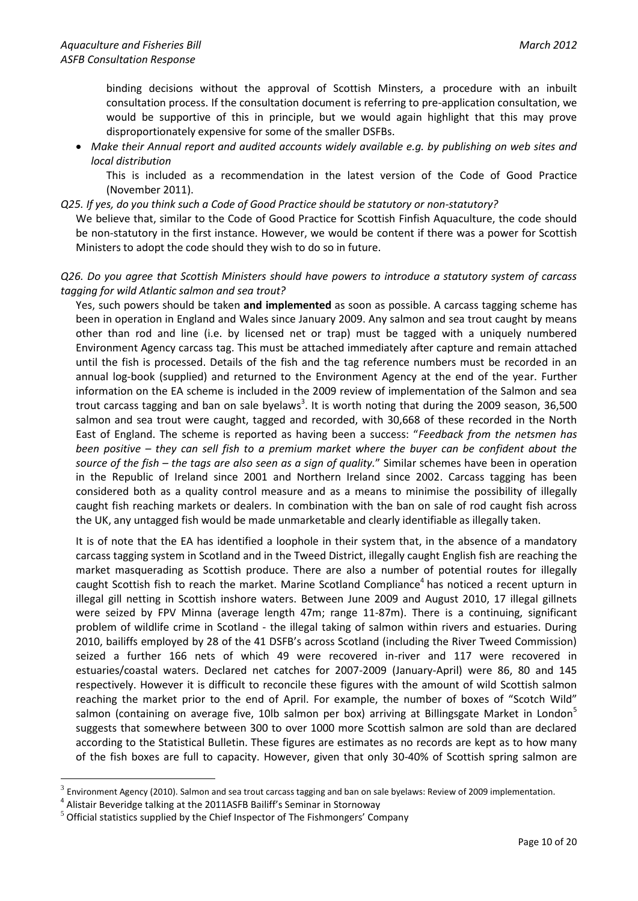binding decisions without the approval of Scottish Minsters, a procedure with an inbuilt consultation process. If the consultation document is referring to pre-application consultation, we would be supportive of this in principle, but we would again highlight that this may prove disproportionately expensive for some of the smaller DSFBs.

 *Make their Annual report and audited accounts widely available e.g. by publishing on web sites and local distribution*

This is included as a recommendation in the latest version of the Code of Good Practice (November 2011).

*Q25. If yes, do you think such a Code of Good Practice should be statutory or non-statutory?*

We believe that, similar to the Code of Good Practice for Scottish Finfish Aquaculture, the code should be non-statutory in the first instance. However, we would be content if there was a power for Scottish Ministers to adopt the code should they wish to do so in future.

# *Q26. Do you agree that Scottish Ministers should have powers to introduce a statutory system of carcass tagging for wild Atlantic salmon and sea trout?*

Yes, such powers should be taken **and implemented** as soon as possible. A carcass tagging scheme has been in operation in England and Wales since January 2009. Any salmon and sea trout caught by means other than rod and line (i.e. by licensed net or trap) must be tagged with a uniquely numbered Environment Agency carcass tag. This must be attached immediately after capture and remain attached until the fish is processed. Details of the fish and the tag reference numbers must be recorded in an annual log-book (supplied) and returned to the Environment Agency at the end of the year. Further information on the EA scheme is included in the 2009 review of implementation of the Salmon and sea trout carcass tagging and ban on sale byelaws<sup>3</sup>. It is worth noting that during the 2009 season, 36,500 salmon and sea trout were caught, tagged and recorded, with 30,668 of these recorded in the North East of England. The scheme is reported as having been a success: "*Feedback from the netsmen has been positive – they can sell fish to a premium market where the buyer can be confident about the source of the fish – the tags are also seen as a sign of quality.*" Similar schemes have been in operation in the Republic of Ireland since 2001 and Northern Ireland since 2002. Carcass tagging has been considered both as a quality control measure and as a means to minimise the possibility of illegally caught fish reaching markets or dealers. In combination with the ban on sale of rod caught fish across the UK, any untagged fish would be made unmarketable and clearly identifiable as illegally taken.

It is of note that the EA has identified a loophole in their system that, in the absence of a mandatory carcass tagging system in Scotland and in the Tweed District, illegally caught English fish are reaching the market masquerading as Scottish produce. There are also a number of potential routes for illegally caught Scottish fish to reach the market. Marine Scotland Compliance<sup>4</sup> has noticed a recent upturn in illegal gill netting in Scottish inshore waters. Between June 2009 and August 2010, 17 illegal gillnets were seized by FPV Minna (average length 47m; range 11-87m). There is a continuing, significant problem of wildlife crime in Scotland - the illegal taking of salmon within rivers and estuaries. During 2010, bailiffs employed by 28 of the 41 DSFB's across Scotland (including the River Tweed Commission) seized a further 166 nets of which 49 were recovered in-river and 117 were recovered in estuaries/coastal waters. Declared net catches for 2007-2009 (January-April) were 86, 80 and 145 respectively. However it is difficult to reconcile these figures with the amount of wild Scottish salmon reaching the market prior to the end of April. For example, the number of boxes of "Scotch Wild" salmon (containing on average five, 10lb salmon per box) arriving at Billingsgate Market in London<sup>5</sup> suggests that somewhere between 300 to over 1000 more Scottish salmon are sold than are declared according to the Statistical Bulletin. These figures are estimates as no records are kept as to how many of the fish boxes are full to capacity. However, given that only 30-40% of Scottish spring salmon are

1

<sup>3</sup> Environment Agency (2010). Salmon and sea trout carcass tagging and ban on sale byelaws: Review of 2009 implementation.

<sup>&</sup>lt;sup>4</sup> Alistair Beveridge talking at the 2011ASFB Bailiff's Seminar in Stornoway

 $5$  Official statistics supplied by the Chief Inspector of The Fishmongers' Company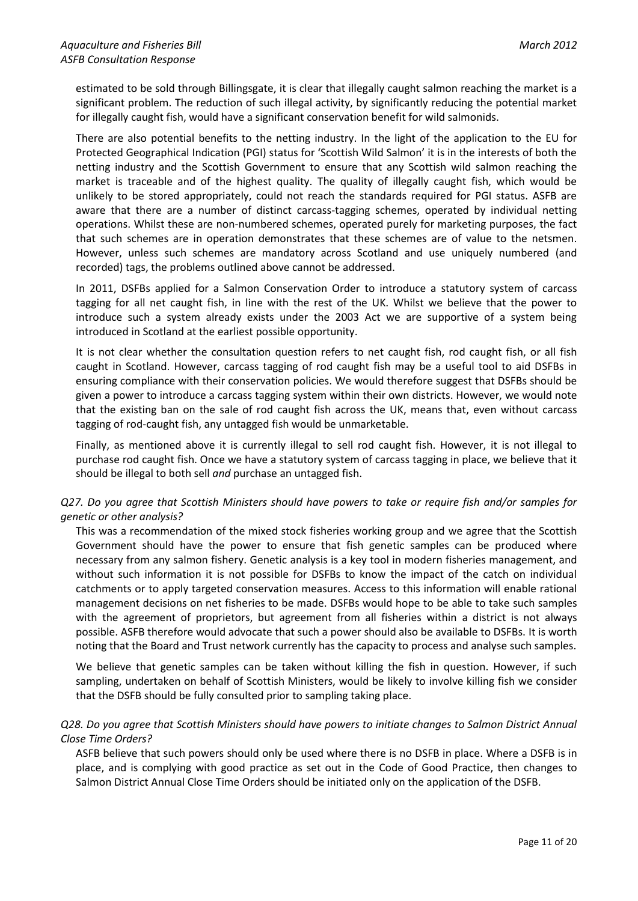estimated to be sold through Billingsgate, it is clear that illegally caught salmon reaching the market is a significant problem. The reduction of such illegal activity, by significantly reducing the potential market for illegally caught fish, would have a significant conservation benefit for wild salmonids.

There are also potential benefits to the netting industry. In the light of the application to the EU for Protected Geographical Indication (PGI) status for 'Scottish Wild Salmon' it is in the interests of both the netting industry and the Scottish Government to ensure that any Scottish wild salmon reaching the market is traceable and of the highest quality. The quality of illegally caught fish, which would be unlikely to be stored appropriately, could not reach the standards required for PGI status. ASFB are aware that there are a number of distinct carcass-tagging schemes, operated by individual netting operations. Whilst these are non-numbered schemes, operated purely for marketing purposes, the fact that such schemes are in operation demonstrates that these schemes are of value to the netsmen. However, unless such schemes are mandatory across Scotland and use uniquely numbered (and recorded) tags, the problems outlined above cannot be addressed.

In 2011, DSFBs applied for a Salmon Conservation Order to introduce a statutory system of carcass tagging for all net caught fish, in line with the rest of the UK. Whilst we believe that the power to introduce such a system already exists under the 2003 Act we are supportive of a system being introduced in Scotland at the earliest possible opportunity.

It is not clear whether the consultation question refers to net caught fish, rod caught fish, or all fish caught in Scotland. However, carcass tagging of rod caught fish may be a useful tool to aid DSFBs in ensuring compliance with their conservation policies. We would therefore suggest that DSFBs should be given a power to introduce a carcass tagging system within their own districts. However, we would note that the existing ban on the sale of rod caught fish across the UK, means that, even without carcass tagging of rod-caught fish, any untagged fish would be unmarketable.

Finally, as mentioned above it is currently illegal to sell rod caught fish. However, it is not illegal to purchase rod caught fish. Once we have a statutory system of carcass tagging in place, we believe that it should be illegal to both sell *and* purchase an untagged fish.

# *Q27. Do you agree that Scottish Ministers should have powers to take or require fish and/or samples for genetic or other analysis?*

This was a recommendation of the mixed stock fisheries working group and we agree that the Scottish Government should have the power to ensure that fish genetic samples can be produced where necessary from any salmon fishery. Genetic analysis is a key tool in modern fisheries management, and without such information it is not possible for DSFBs to know the impact of the catch on individual catchments or to apply targeted conservation measures. Access to this information will enable rational management decisions on net fisheries to be made. DSFBs would hope to be able to take such samples with the agreement of proprietors, but agreement from all fisheries within a district is not always possible. ASFB therefore would advocate that such a power should also be available to DSFBs. It is worth noting that the Board and Trust network currently has the capacity to process and analyse such samples.

We believe that genetic samples can be taken without killing the fish in question. However, if such sampling, undertaken on behalf of Scottish Ministers, would be likely to involve killing fish we consider that the DSFB should be fully consulted prior to sampling taking place.

# *Q28. Do you agree that Scottish Ministers should have powers to initiate changes to Salmon District Annual Close Time Orders?*

ASFB believe that such powers should only be used where there is no DSFB in place. Where a DSFB is in place, and is complying with good practice as set out in the Code of Good Practice, then changes to Salmon District Annual Close Time Orders should be initiated only on the application of the DSFB.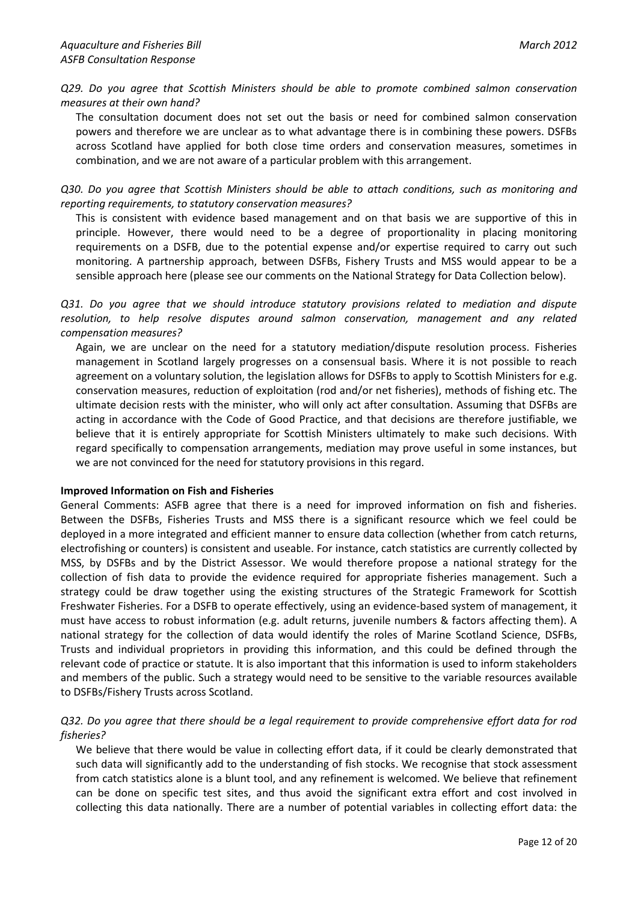*Q29. Do you agree that Scottish Ministers should be able to promote combined salmon conservation measures at their own hand?*

The consultation document does not set out the basis or need for combined salmon conservation powers and therefore we are unclear as to what advantage there is in combining these powers. DSFBs across Scotland have applied for both close time orders and conservation measures, sometimes in combination, and we are not aware of a particular problem with this arrangement.

*Q30. Do you agree that Scottish Ministers should be able to attach conditions, such as monitoring and reporting requirements, to statutory conservation measures?*

This is consistent with evidence based management and on that basis we are supportive of this in principle. However, there would need to be a degree of proportionality in placing monitoring requirements on a DSFB, due to the potential expense and/or expertise required to carry out such monitoring. A partnership approach, between DSFBs, Fishery Trusts and MSS would appear to be a sensible approach here (please see our comments on the National Strategy for Data Collection below).

*Q31. Do you agree that we should introduce statutory provisions related to mediation and dispute resolution, to help resolve disputes around salmon conservation, management and any related compensation measures?*

Again, we are unclear on the need for a statutory mediation/dispute resolution process. Fisheries management in Scotland largely progresses on a consensual basis. Where it is not possible to reach agreement on a voluntary solution, the legislation allows for DSFBs to apply to Scottish Ministers for e.g. conservation measures, reduction of exploitation (rod and/or net fisheries), methods of fishing etc. The ultimate decision rests with the minister, who will only act after consultation. Assuming that DSFBs are acting in accordance with the Code of Good Practice, and that decisions are therefore justifiable, we believe that it is entirely appropriate for Scottish Ministers ultimately to make such decisions. With regard specifically to compensation arrangements, mediation may prove useful in some instances, but we are not convinced for the need for statutory provisions in this regard.

# **Improved Information on Fish and Fisheries**

General Comments: ASFB agree that there is a need for improved information on fish and fisheries. Between the DSFBs, Fisheries Trusts and MSS there is a significant resource which we feel could be deployed in a more integrated and efficient manner to ensure data collection (whether from catch returns, electrofishing or counters) is consistent and useable. For instance, catch statistics are currently collected by MSS, by DSFBs and by the District Assessor. We would therefore propose a national strategy for the collection of fish data to provide the evidence required for appropriate fisheries management. Such a strategy could be draw together using the existing structures of the Strategic Framework for Scottish Freshwater Fisheries. For a DSFB to operate effectively, using an evidence-based system of management, it must have access to robust information (e.g. adult returns, juvenile numbers & factors affecting them). A national strategy for the collection of data would identify the roles of Marine Scotland Science, DSFBs, Trusts and individual proprietors in providing this information, and this could be defined through the relevant code of practice or statute. It is also important that this information is used to inform stakeholders and members of the public. Such a strategy would need to be sensitive to the variable resources available to DSFBs/Fishery Trusts across Scotland.

*Q32. Do you agree that there should be a legal requirement to provide comprehensive effort data for rod fisheries?*

We believe that there would be value in collecting effort data, if it could be clearly demonstrated that such data will significantly add to the understanding of fish stocks. We recognise that stock assessment from catch statistics alone is a blunt tool, and any refinement is welcomed. We believe that refinement can be done on specific test sites, and thus avoid the significant extra effort and cost involved in collecting this data nationally. There are a number of potential variables in collecting effort data: the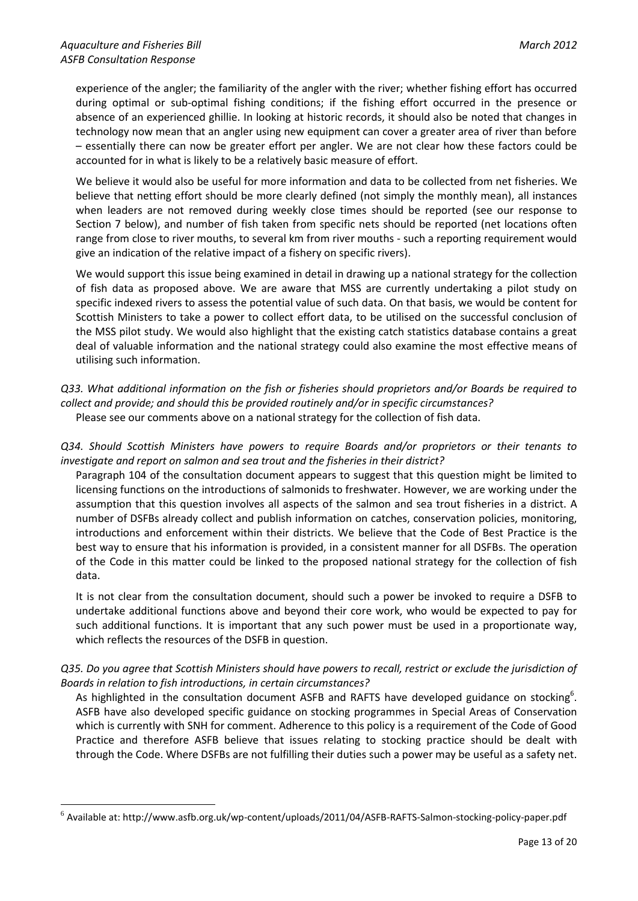1

experience of the angler; the familiarity of the angler with the river; whether fishing effort has occurred during optimal or sub-optimal fishing conditions; if the fishing effort occurred in the presence or absence of an experienced ghillie. In looking at historic records, it should also be noted that changes in technology now mean that an angler using new equipment can cover a greater area of river than before – essentially there can now be greater effort per angler. We are not clear how these factors could be accounted for in what is likely to be a relatively basic measure of effort.

We believe it would also be useful for more information and data to be collected from net fisheries. We believe that netting effort should be more clearly defined (not simply the monthly mean), all instances when leaders are not removed during weekly close times should be reported (see our response to Section 7 below), and number of fish taken from specific nets should be reported (net locations often range from close to river mouths, to several km from river mouths - such a reporting requirement would give an indication of the relative impact of a fishery on specific rivers).

We would support this issue being examined in detail in drawing up a national strategy for the collection of fish data as proposed above. We are aware that MSS are currently undertaking a pilot study on specific indexed rivers to assess the potential value of such data. On that basis, we would be content for Scottish Ministers to take a power to collect effort data, to be utilised on the successful conclusion of the MSS pilot study. We would also highlight that the existing catch statistics database contains a great deal of valuable information and the national strategy could also examine the most effective means of utilising such information.

- *Q33. What additional information on the fish or fisheries should proprietors and/or Boards be required to collect and provide; and should this be provided routinely and/or in specific circumstances?* Please see our comments above on a national strategy for the collection of fish data.
- *Q34. Should Scottish Ministers have powers to require Boards and/or proprietors or their tenants to investigate and report on salmon and sea trout and the fisheries in their district?*

Paragraph 104 of the consultation document appears to suggest that this question might be limited to licensing functions on the introductions of salmonids to freshwater. However, we are working under the assumption that this question involves all aspects of the salmon and sea trout fisheries in a district. A number of DSFBs already collect and publish information on catches, conservation policies, monitoring, introductions and enforcement within their districts. We believe that the Code of Best Practice is the best way to ensure that his information is provided, in a consistent manner for all DSFBs. The operation of the Code in this matter could be linked to the proposed national strategy for the collection of fish data.

It is not clear from the consultation document, should such a power be invoked to require a DSFB to undertake additional functions above and beyond their core work, who would be expected to pay for such additional functions. It is important that any such power must be used in a proportionate way, which reflects the resources of the DSFB in question.

# *Q35. Do you agree that Scottish Ministers should have powers to recall, restrict or exclude the jurisdiction of Boards in relation to fish introductions, in certain circumstances?*

As highlighted in the consultation document ASFB and RAFTS have developed guidance on stocking<sup>6</sup>. ASFB have also developed specific guidance on stocking programmes in Special Areas of Conservation which is currently with SNH for comment. Adherence to this policy is a requirement of the Code of Good Practice and therefore ASFB believe that issues relating to stocking practice should be dealt with through the Code. Where DSFBs are not fulfilling their duties such a power may be useful as a safety net.

<sup>6</sup> Available at: http://www.asfb.org.uk/wp-content/uploads/2011/04/ASFB-RAFTS-Salmon-stocking-policy-paper.pdf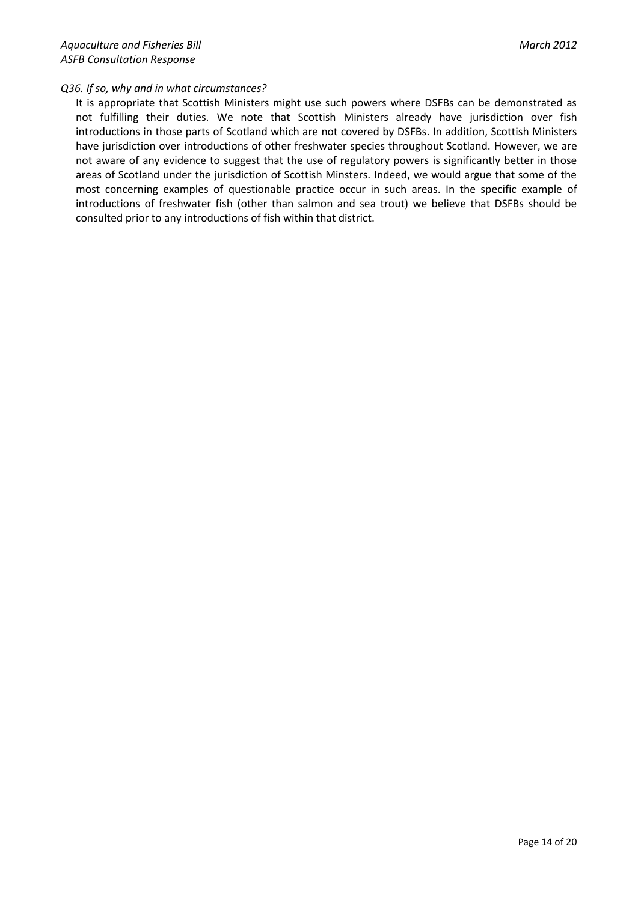# *Q36. If so, why and in what circumstances?*

It is appropriate that Scottish Ministers might use such powers where DSFBs can be demonstrated as not fulfilling their duties. We note that Scottish Ministers already have jurisdiction over fish introductions in those parts of Scotland which are not covered by DSFBs. In addition, Scottish Ministers have jurisdiction over introductions of other freshwater species throughout Scotland. However, we are not aware of any evidence to suggest that the use of regulatory powers is significantly better in those areas of Scotland under the jurisdiction of Scottish Minsters. Indeed, we would argue that some of the most concerning examples of questionable practice occur in such areas. In the specific example of introductions of freshwater fish (other than salmon and sea trout) we believe that DSFBs should be consulted prior to any introductions of fish within that district.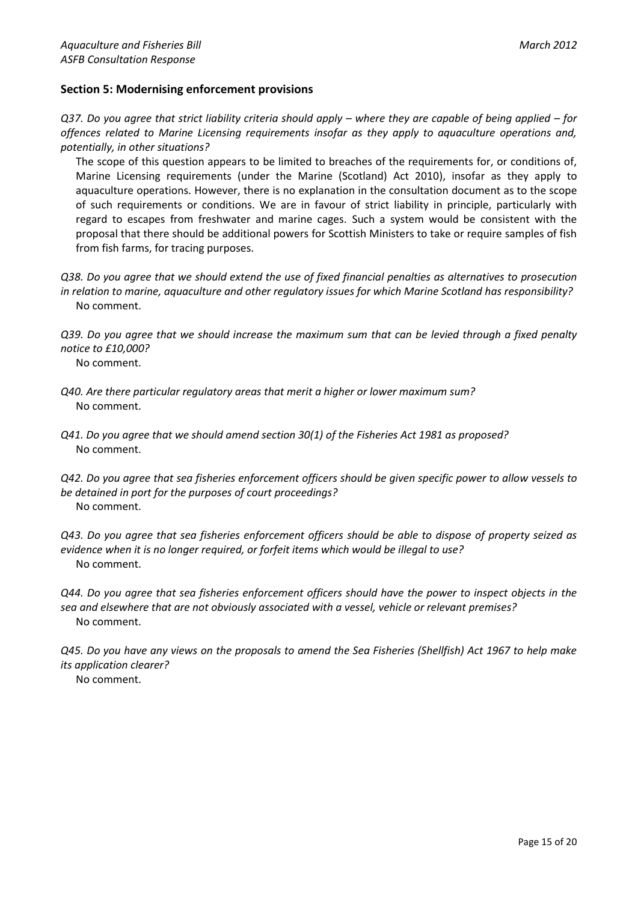# **Section 5: Modernising enforcement provisions**

*Q37. Do you agree that strict liability criteria should apply – where they are capable of being applied – for offences related to Marine Licensing requirements insofar as they apply to aquaculture operations and, potentially, in other situations?*

The scope of this question appears to be limited to breaches of the requirements for, or conditions of, Marine Licensing requirements (under the Marine (Scotland) Act 2010), insofar as they apply to aquaculture operations. However, there is no explanation in the consultation document as to the scope of such requirements or conditions. We are in favour of strict liability in principle, particularly with regard to escapes from freshwater and marine cages. Such a system would be consistent with the proposal that there should be additional powers for Scottish Ministers to take or require samples of fish from fish farms, for tracing purposes.

*Q38. Do you agree that we should extend the use of fixed financial penalties as alternatives to prosecution in relation to marine, aquaculture and other regulatory issues for which Marine Scotland has responsibility?* No comment.

*Q39. Do you agree that we should increase the maximum sum that can be levied through a fixed penalty notice to £10,000?*

No comment.

- *Q40. Are there particular regulatory areas that merit a higher or lower maximum sum?* No comment.
- *Q41. Do you agree that we should amend section 30(1) of the Fisheries Act 1981 as proposed?* No comment.
- *Q42. Do you agree that sea fisheries enforcement officers should be given specific power to allow vessels to be detained in port for the purposes of court proceedings?* No comment.

*Q43. Do you agree that sea fisheries enforcement officers should be able to dispose of property seized as evidence when it is no longer required, or forfeit items which would be illegal to use?* No comment.

*Q44. Do you agree that sea fisheries enforcement officers should have the power to inspect objects in the sea and elsewhere that are not obviously associated with a vessel, vehicle or relevant premises?* No comment.

*Q45. Do you have any views on the proposals to amend the Sea Fisheries (Shellfish) Act 1967 to help make its application clearer?* No comment.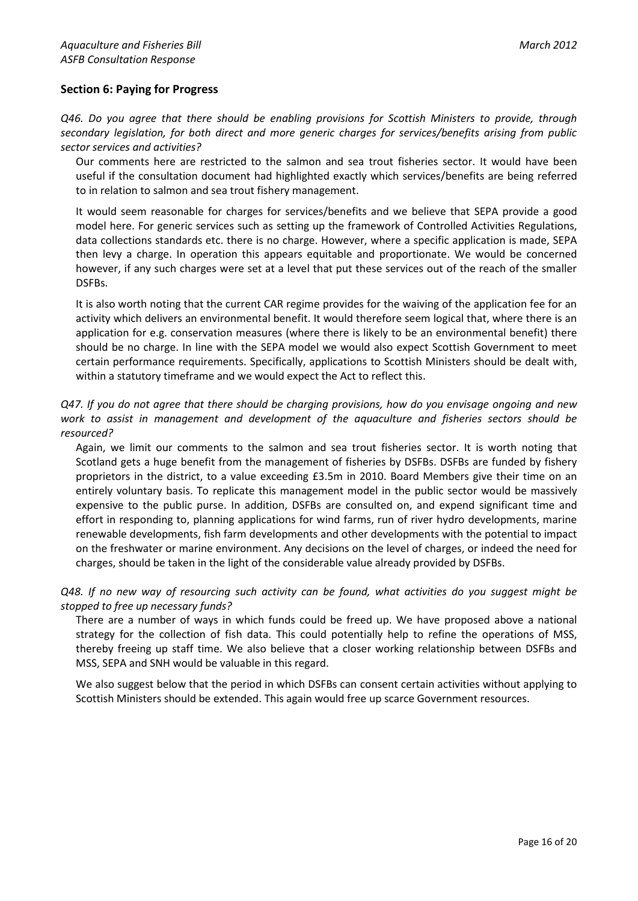# **Section 6: Paying for Progress**

*Q46. Do you agree that there should be enabling provisions for Scottish Ministers to provide, through secondary legislation, for both direct and more generic charges for services/benefits arising from public sector services and activities?*

Our comments here are restricted to the salmon and sea trout fisheries sector. It would have been useful if the consultation document had highlighted exactly which services/benefits are being referred to in relation to salmon and sea trout fishery management.

It would seem reasonable for charges for services/benefits and we believe that SEPA provide a good model here. For generic services such as setting up the framework of Controlled Activities Regulations, data collections standards etc. there is no charge. However, where a specific application is made, SEPA then levy a charge. In operation this appears equitable and proportionate. We would be concerned however, if any such charges were set at a level that put these services out of the reach of the smaller DSFBs.

It is also worth noting that the current CAR regime provides for the waiving of the application fee for an activity which delivers an environmental benefit. It would therefore seem logical that, where there is an application for e.g. conservation measures (where there is likely to be an environmental benefit) there should be no charge. In line with the SEPA model we would also expect Scottish Government to meet certain performance requirements. Specifically, applications to Scottish Ministers should be dealt with, within a statutory timeframe and we would expect the Act to reflect this.

# *Q47. If you do not agree that there should be charging provisions, how do you envisage ongoing and new work to assist in management and development of the aquaculture and fisheries sectors should be resourced?*

Again, we limit our comments to the salmon and sea trout fisheries sector. It is worth noting that Scotland gets a huge benefit from the management of fisheries by DSFBs. DSFBs are funded by fishery proprietors in the district, to a value exceeding £3.5m in 2010. Board Members give their time on an entirely voluntary basis. To replicate this management model in the public sector would be massively expensive to the public purse. In addition, DSFBs are consulted on, and expend significant time and effort in responding to, planning applications for wind farms, run of river hydro developments, marine renewable developments, fish farm developments and other developments with the potential to impact on the freshwater or marine environment. Any decisions on the level of charges, or indeed the need for charges, should be taken in the light of the considerable value already provided by DSFBs.

*Q48. If no new way of resourcing such activity can be found, what activities do you suggest might be stopped to free up necessary funds?*

There are a number of ways in which funds could be freed up. We have proposed above a national strategy for the collection of fish data. This could potentially help to refine the operations of MSS, thereby freeing up staff time. We also believe that a closer working relationship between DSFBs and MSS, SEPA and SNH would be valuable in this regard.

We also suggest below that the period in which DSFBs can consent certain activities without applying to Scottish Ministers should be extended. This again would free up scarce Government resources.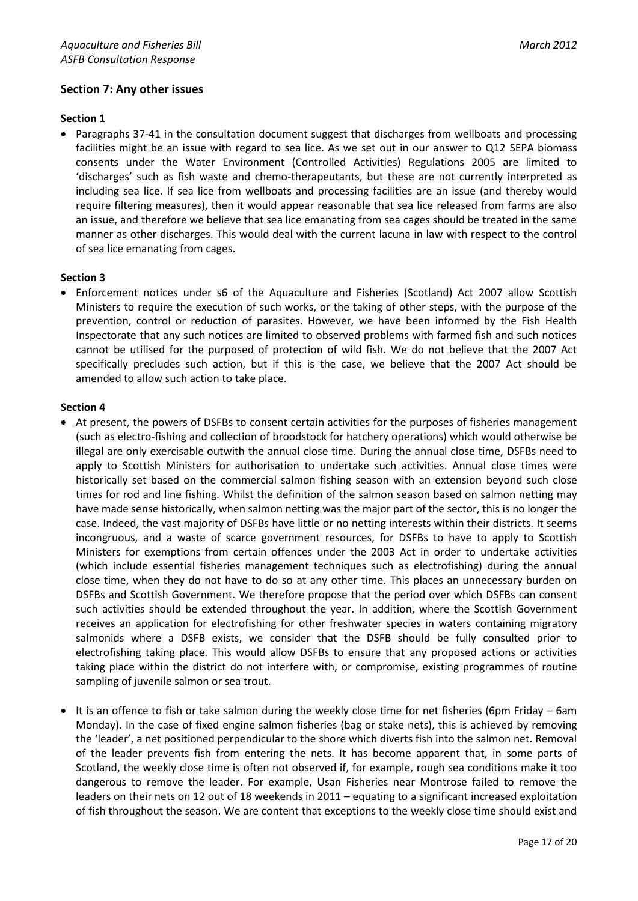# **Section 7: Any other issues**

#### **Section 1**

 Paragraphs 37-41 in the consultation document suggest that discharges from wellboats and processing facilities might be an issue with regard to sea lice. As we set out in our answer to Q12 SEPA biomass consents under the Water Environment (Controlled Activities) Regulations 2005 are limited to 'discharges' such as fish waste and chemo-therapeutants, but these are not currently interpreted as including sea lice. If sea lice from wellboats and processing facilities are an issue (and thereby would require filtering measures), then it would appear reasonable that sea lice released from farms are also an issue, and therefore we believe that sea lice emanating from sea cages should be treated in the same manner as other discharges. This would deal with the current lacuna in law with respect to the control of sea lice emanating from cages.

#### **Section 3**

 Enforcement notices under s6 of the Aquaculture and Fisheries (Scotland) Act 2007 allow Scottish Ministers to require the execution of such works, or the taking of other steps, with the purpose of the prevention, control or reduction of parasites. However, we have been informed by the Fish Health Inspectorate that any such notices are limited to observed problems with farmed fish and such notices cannot be utilised for the purposed of protection of wild fish. We do not believe that the 2007 Act specifically precludes such action, but if this is the case, we believe that the 2007 Act should be amended to allow such action to take place.

#### **Section 4**

- At present, the powers of DSFBs to consent certain activities for the purposes of fisheries management (such as electro-fishing and collection of broodstock for hatchery operations) which would otherwise be illegal are only exercisable outwith the annual close time. During the annual close time, DSFBs need to apply to Scottish Ministers for authorisation to undertake such activities. Annual close times were historically set based on the commercial salmon fishing season with an extension beyond such close times for rod and line fishing. Whilst the definition of the salmon season based on salmon netting may have made sense historically, when salmon netting was the major part of the sector, this is no longer the case. Indeed, the vast majority of DSFBs have little or no netting interests within their districts. It seems incongruous, and a waste of scarce government resources, for DSFBs to have to apply to Scottish Ministers for exemptions from certain offences under the 2003 Act in order to undertake activities (which include essential fisheries management techniques such as electrofishing) during the annual close time, when they do not have to do so at any other time. This places an unnecessary burden on DSFBs and Scottish Government. We therefore propose that the period over which DSFBs can consent such activities should be extended throughout the year. In addition, where the Scottish Government receives an application for electrofishing for other freshwater species in waters containing migratory salmonids where a DSFB exists, we consider that the DSFB should be fully consulted prior to electrofishing taking place. This would allow DSFBs to ensure that any proposed actions or activities taking place within the district do not interfere with, or compromise, existing programmes of routine sampling of juvenile salmon or sea trout.
- It is an offence to fish or take salmon during the weekly close time for net fisheries (6pm Friday 6am Monday). In the case of fixed engine salmon fisheries (bag or stake nets), this is achieved by removing the 'leader', a net positioned perpendicular to the shore which diverts fish into the salmon net. Removal of the leader prevents fish from entering the nets. It has become apparent that, in some parts of Scotland, the weekly close time is often not observed if, for example, rough sea conditions make it too dangerous to remove the leader. For example, Usan Fisheries near Montrose failed to remove the leaders on their nets on 12 out of 18 weekends in 2011 – equating to a significant increased exploitation of fish throughout the season. We are content that exceptions to the weekly close time should exist and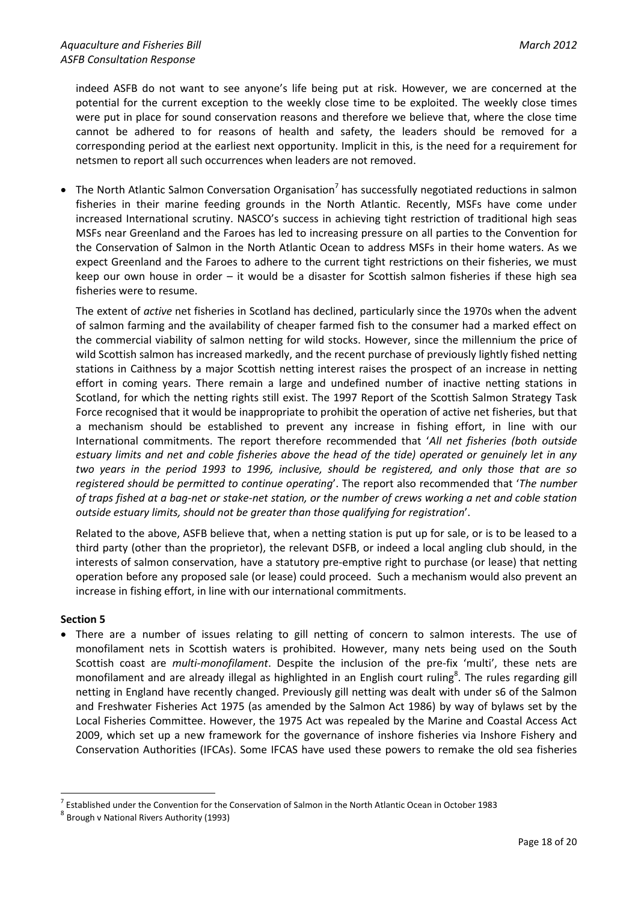indeed ASFB do not want to see anyone's life being put at risk. However, we are concerned at the potential for the current exception to the weekly close time to be exploited. The weekly close times were put in place for sound conservation reasons and therefore we believe that, where the close time cannot be adhered to for reasons of health and safety, the leaders should be removed for a corresponding period at the earliest next opportunity. Implicit in this, is the need for a requirement for netsmen to report all such occurrences when leaders are not removed.

 $\bullet$  The North Atlantic Salmon Conversation Organisation<sup>7</sup> has successfully negotiated reductions in salmon fisheries in their marine feeding grounds in the North Atlantic. Recently, MSFs have come under increased International scrutiny. NASCO's success in achieving tight restriction of traditional high seas MSFs near Greenland and the Faroes has led to increasing pressure on all parties to the Convention for the Conservation of Salmon in the North Atlantic Ocean to address MSFs in their home waters. As we expect Greenland and the Faroes to adhere to the current tight restrictions on their fisheries, we must keep our own house in order – it would be a disaster for Scottish salmon fisheries if these high sea fisheries were to resume.

The extent of *active* net fisheries in Scotland has declined, particularly since the 1970s when the advent of salmon farming and the availability of cheaper farmed fish to the consumer had a marked effect on the commercial viability of salmon netting for wild stocks. However, since the millennium the price of wild Scottish salmon has increased markedly, and the recent purchase of previously lightly fished netting stations in Caithness by a major Scottish netting interest raises the prospect of an increase in netting effort in coming years. There remain a large and undefined number of inactive netting stations in Scotland, for which the netting rights still exist. The 1997 Report of the Scottish Salmon Strategy Task Force recognised that it would be inappropriate to prohibit the operation of active net fisheries, but that a mechanism should be established to prevent any increase in fishing effort, in line with our International commitments. The report therefore recommended that '*All net fisheries (both outside estuary limits and net and coble fisheries above the head of the tide) operated or genuinely let in any two years in the period 1993 to 1996, inclusive, should be registered, and only those that are so registered should be permitted to continue operating*'. The report also recommended that '*The number of traps fished at a bag-net or stake-net station, or the number of crews working a net and coble station outside estuary limits, should not be greater than those qualifying for registration*'.

Related to the above, ASFB believe that, when a netting station is put up for sale, or is to be leased to a third party (other than the proprietor), the relevant DSFB, or indeed a local angling club should, in the interests of salmon conservation, have a statutory pre-emptive right to purchase (or lease) that netting operation before any proposed sale (or lease) could proceed. Such a mechanism would also prevent an increase in fishing effort, in line with our international commitments.

# **Section 5**

1

 There are a number of issues relating to gill netting of concern to salmon interests. The use of monofilament nets in Scottish waters is prohibited. However, many nets being used on the South Scottish coast are *multi-monofilament*. Despite the inclusion of the pre-fix 'multi', these nets are monofilament and are already illegal as highlighted in an English court ruling<sup>8</sup>. The rules regarding gill netting in England have recently changed. Previously gill netting was dealt with under s6 of the Salmon and Freshwater Fisheries Act 1975 (as amended by the Salmon Act 1986) by way of bylaws set by the Local Fisheries Committee. However, the 1975 Act was repealed by the Marine and Coastal Access Act 2009, which set up a new framework for the governance of inshore fisheries via Inshore Fishery and Conservation Authorities (IFCAs). Some IFCAS have used these powers to remake the old sea fisheries

<sup>7</sup> Established under the Convention for the Conservation of Salmon in the North Atlantic Ocean in October 1983

<sup>8</sup> Brough v National Rivers Authority (1993)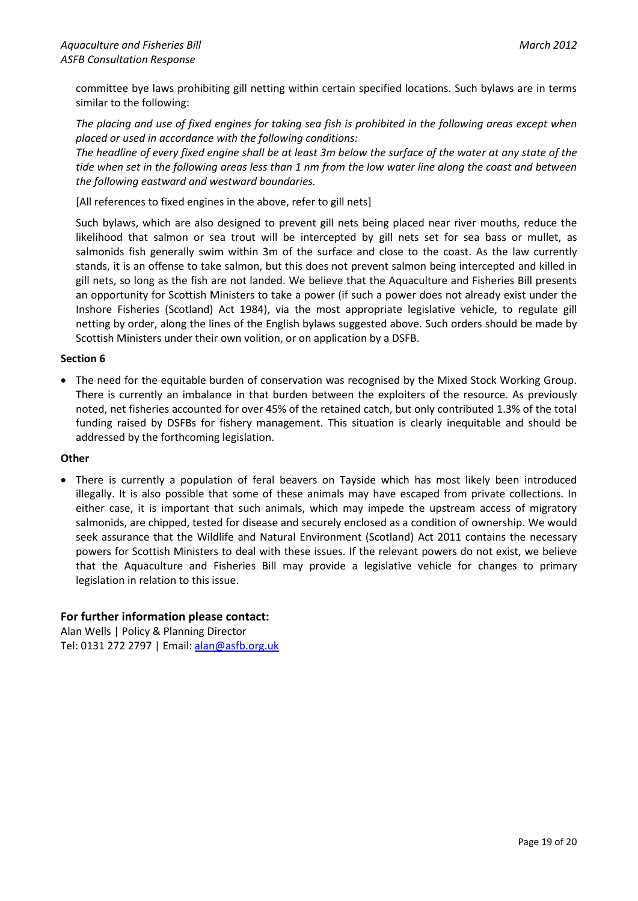committee bye laws prohibiting gill netting within certain specified locations. Such bylaws are in terms similar to the following:

*The placing and use of fixed engines for taking sea fish is prohibited in the following areas except when placed or used in accordance with the following conditions:*

*The headline of every fixed engine shall be at least 3m below the surface of the water at any state of the tide when set in the following areas less than 1 nm from the low water line along the coast and between the following eastward and westward boundaries.*

[All references to fixed engines in the above, refer to gill nets]

Such bylaws, which are also designed to prevent gill nets being placed near river mouths, reduce the likelihood that salmon or sea trout will be intercepted by gill nets set for sea bass or mullet, as salmonids fish generally swim within 3m of the surface and close to the coast. As the law currently stands, it is an offense to take salmon, but this does not prevent salmon being intercepted and killed in gill nets, so long as the fish are not landed. We believe that the Aquaculture and Fisheries Bill presents an opportunity for Scottish Ministers to take a power (if such a power does not already exist under the Inshore Fisheries (Scotland) Act 1984), via the most appropriate legislative vehicle, to regulate gill netting by order, along the lines of the English bylaws suggested above. Such orders should be made by Scottish Ministers under their own volition, or on application by a DSFB.

#### **Section 6**

• The need for the equitable burden of conservation was recognised by the Mixed Stock Working Group. There is currently an imbalance in that burden between the exploiters of the resource. As previously noted, net fisheries accounted for over 45% of the retained catch, but only contributed 1.3% of the total funding raised by DSFBs for fishery management. This situation is clearly inequitable and should be addressed by the forthcoming legislation.

#### **Other**

 There is currently a population of feral beavers on Tayside which has most likely been introduced illegally. It is also possible that some of these animals may have escaped from private collections. In either case, it is important that such animals, which may impede the upstream access of migratory salmonids, are chipped, tested for disease and securely enclosed as a condition of ownership. We would seek assurance that the Wildlife and Natural Environment (Scotland) Act 2011 contains the necessary powers for Scottish Ministers to deal with these issues. If the relevant powers do not exist, we believe that the Aquaculture and Fisheries Bill may provide a legislative vehicle for changes to primary legislation in relation to this issue.

# **For further information please contact:**

Alan Wells | Policy & Planning Director Tel: 0131 272 2797 | Email[: alan@asfb.org.uk](mailto:alan@asfb.org.uk)